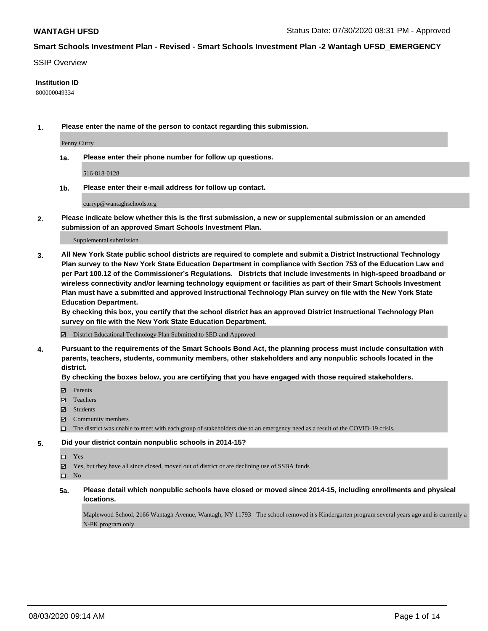### SSIP Overview

### **Institution ID**

800000049334

**1. Please enter the name of the person to contact regarding this submission.**

Penny Curry

**1a. Please enter their phone number for follow up questions.**

516-818-0128

**1b. Please enter their e-mail address for follow up contact.**

curryp@wantaghschools.org

**2. Please indicate below whether this is the first submission, a new or supplemental submission or an amended submission of an approved Smart Schools Investment Plan.**

#### Supplemental submission

**3. All New York State public school districts are required to complete and submit a District Instructional Technology Plan survey to the New York State Education Department in compliance with Section 753 of the Education Law and per Part 100.12 of the Commissioner's Regulations. Districts that include investments in high-speed broadband or wireless connectivity and/or learning technology equipment or facilities as part of their Smart Schools Investment Plan must have a submitted and approved Instructional Technology Plan survey on file with the New York State Education Department.** 

**By checking this box, you certify that the school district has an approved District Instructional Technology Plan survey on file with the New York State Education Department.**

District Educational Technology Plan Submitted to SED and Approved

**4. Pursuant to the requirements of the Smart Schools Bond Act, the planning process must include consultation with parents, teachers, students, community members, other stakeholders and any nonpublic schools located in the district.** 

### **By checking the boxes below, you are certifying that you have engaged with those required stakeholders.**

- **Parents**
- Teachers
- Students
- $\boxtimes$  Community members
- The district was unable to meet with each group of stakeholders due to an emergency need as a result of the COVID-19 crisis.

### **5. Did your district contain nonpublic schools in 2014-15?**

- Yes
- Yes, but they have all since closed, moved out of district or are declining use of SSBA funds

 $\square$  No

**5a. Please detail which nonpublic schools have closed or moved since 2014-15, including enrollments and physical locations.**

Maplewood School, 2166 Wantagh Avenue, Wantagh, NY 11793 - The school removed it's Kindergarten program several years ago and is currently a N-PK program only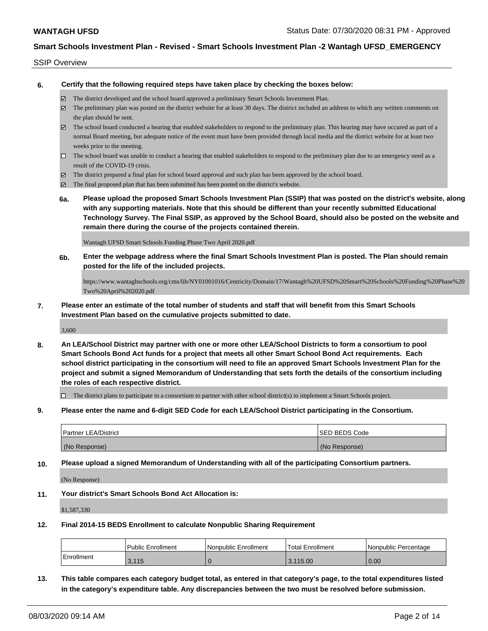### SSIP Overview

**6. Certify that the following required steps have taken place by checking the boxes below:**

- The district developed and the school board approved a preliminary Smart Schools Investment Plan.
- $\boxtimes$  The preliminary plan was posted on the district website for at least 30 days. The district included an address to which any written comments on the plan should be sent.
- $\boxtimes$  The school board conducted a hearing that enabled stakeholders to respond to the preliminary plan. This hearing may have occured as part of a normal Board meeting, but adequate notice of the event must have been provided through local media and the district website for at least two weeks prior to the meeting.
- $\Box$  The school board was unable to conduct a hearing that enabled stakeholders to respond to the preliminary plan due to an emergency need as a result of the COVID-19 crisis.
- The district prepared a final plan for school board approval and such plan has been approved by the school board.
- $\boxtimes$  The final proposed plan that has been submitted has been posted on the district's website.
- **6a. Please upload the proposed Smart Schools Investment Plan (SSIP) that was posted on the district's website, along with any supporting materials. Note that this should be different than your recently submitted Educational Technology Survey. The Final SSIP, as approved by the School Board, should also be posted on the website and remain there during the course of the projects contained therein.**

Wantagh UFSD Smart Schools Funding Phase Two April 2020.pdf

**6b. Enter the webpage address where the final Smart Schools Investment Plan is posted. The Plan should remain posted for the life of the included projects.**

https://www.wantaghschools.org/cms/lib/NY01001016/Centricity/Domain/17/Wantagh%20UFSD%20Smart%20Schools%20Funding%20Phase%20 Two%20April%202020.pdf

**7. Please enter an estimate of the total number of students and staff that will benefit from this Smart Schools Investment Plan based on the cumulative projects submitted to date.**

3,600

**8. An LEA/School District may partner with one or more other LEA/School Districts to form a consortium to pool Smart Schools Bond Act funds for a project that meets all other Smart School Bond Act requirements. Each school district participating in the consortium will need to file an approved Smart Schools Investment Plan for the project and submit a signed Memorandum of Understanding that sets forth the details of the consortium including the roles of each respective district.**

 $\Box$  The district plans to participate in a consortium to partner with other school district(s) to implement a Smart Schools project.

**9. Please enter the name and 6-digit SED Code for each LEA/School District participating in the Consortium.**

| <b>Partner LEA/District</b> | <b>ISED BEDS Code</b> |
|-----------------------------|-----------------------|
| (No Response)               | (No Response)         |

**10. Please upload a signed Memorandum of Understanding with all of the participating Consortium partners.**

(No Response)

**11. Your district's Smart Schools Bond Act Allocation is:**

\$1,587,330

**12. Final 2014-15 BEDS Enrollment to calculate Nonpublic Sharing Requirement**

|            | Public Enrollment | Nonpublic Enrollment | Total Enrollment | Nonpublic Percentage |
|------------|-------------------|----------------------|------------------|----------------------|
| Enrollment | 3.115             |                      | 3.115.00         | 0.00                 |

**13. This table compares each category budget total, as entered in that category's page, to the total expenditures listed in the category's expenditure table. Any discrepancies between the two must be resolved before submission.**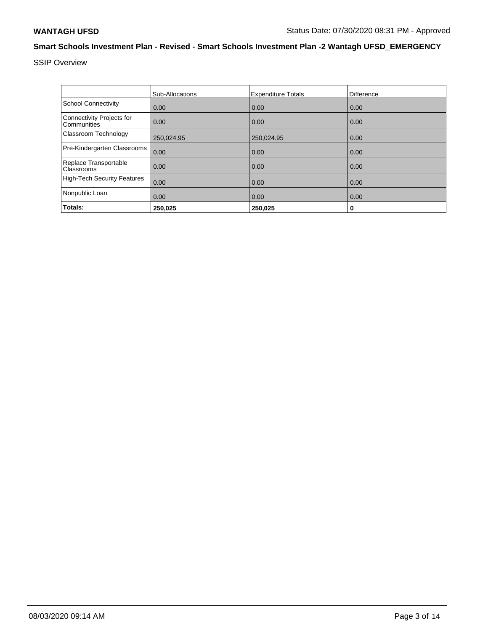SSIP Overview

|                                          | Sub-Allocations | <b>Expenditure Totals</b> | <b>Difference</b> |
|------------------------------------------|-----------------|---------------------------|-------------------|
| <b>School Connectivity</b>               | 0.00            | 0.00                      | 0.00              |
| Connectivity Projects for<br>Communities | 0.00            | 0.00                      | 0.00              |
| Classroom Technology                     | 250,024.95      | 250,024.95                | 0.00              |
| Pre-Kindergarten Classrooms              | 0.00            | 0.00                      | 0.00              |
| Replace Transportable<br>Classrooms      | 0.00            | 0.00                      | 0.00              |
| <b>High-Tech Security Features</b>       | 0.00            | 0.00                      | 0.00              |
| Nonpublic Loan                           | 0.00            | 0.00                      | 0.00              |
| Totals:                                  | 250,025         | 250,025                   | 0                 |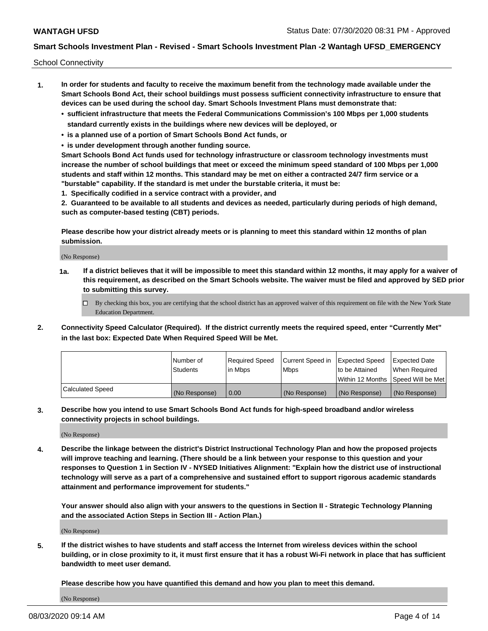School Connectivity

- **1. In order for students and faculty to receive the maximum benefit from the technology made available under the Smart Schools Bond Act, their school buildings must possess sufficient connectivity infrastructure to ensure that devices can be used during the school day. Smart Schools Investment Plans must demonstrate that:**
	- **• sufficient infrastructure that meets the Federal Communications Commission's 100 Mbps per 1,000 students standard currently exists in the buildings where new devices will be deployed, or**
	- **• is a planned use of a portion of Smart Schools Bond Act funds, or**
	- **• is under development through another funding source.**

**Smart Schools Bond Act funds used for technology infrastructure or classroom technology investments must increase the number of school buildings that meet or exceed the minimum speed standard of 100 Mbps per 1,000 students and staff within 12 months. This standard may be met on either a contracted 24/7 firm service or a "burstable" capability. If the standard is met under the burstable criteria, it must be:**

**1. Specifically codified in a service contract with a provider, and**

**2. Guaranteed to be available to all students and devices as needed, particularly during periods of high demand, such as computer-based testing (CBT) periods.**

**Please describe how your district already meets or is planning to meet this standard within 12 months of plan submission.**

(No Response)

**1a. If a district believes that it will be impossible to meet this standard within 12 months, it may apply for a waiver of this requirement, as described on the Smart Schools website. The waiver must be filed and approved by SED prior to submitting this survey.**

 $\Box$  By checking this box, you are certifying that the school district has an approved waiver of this requirement on file with the New York State Education Department.

**2. Connectivity Speed Calculator (Required). If the district currently meets the required speed, enter "Currently Met" in the last box: Expected Date When Required Speed Will be Met.**

|                  | l Number of     | Required Speed | Current Speed in | Expected Speed | Expected Date                           |
|------------------|-----------------|----------------|------------------|----------------|-----------------------------------------|
|                  | <b>Students</b> | In Mbps        | l Mbps           | to be Attained | When Required                           |
|                  |                 |                |                  |                | l Within 12 Months ISpeed Will be Met l |
| Calculated Speed | (No Response)   | 0.00           | (No Response)    | (No Response)  | (No Response)                           |

**3. Describe how you intend to use Smart Schools Bond Act funds for high-speed broadband and/or wireless connectivity projects in school buildings.**

(No Response)

**4. Describe the linkage between the district's District Instructional Technology Plan and how the proposed projects will improve teaching and learning. (There should be a link between your response to this question and your responses to Question 1 in Section IV - NYSED Initiatives Alignment: "Explain how the district use of instructional technology will serve as a part of a comprehensive and sustained effort to support rigorous academic standards attainment and performance improvement for students."** 

**Your answer should also align with your answers to the questions in Section II - Strategic Technology Planning and the associated Action Steps in Section III - Action Plan.)**

(No Response)

**5. If the district wishes to have students and staff access the Internet from wireless devices within the school building, or in close proximity to it, it must first ensure that it has a robust Wi-Fi network in place that has sufficient bandwidth to meet user demand.**

**Please describe how you have quantified this demand and how you plan to meet this demand.**

(No Response)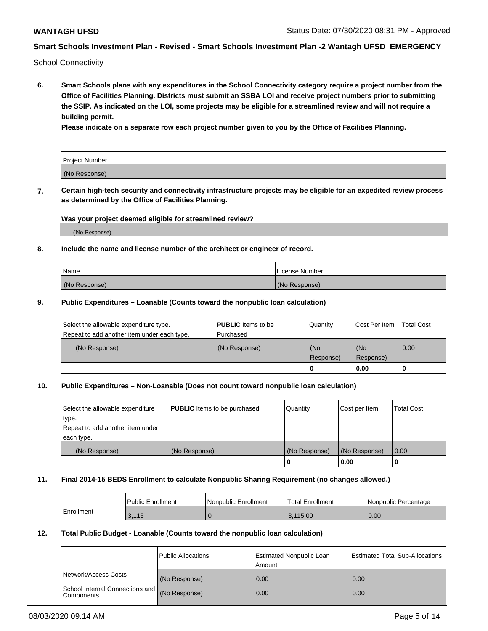School Connectivity

**6. Smart Schools plans with any expenditures in the School Connectivity category require a project number from the Office of Facilities Planning. Districts must submit an SSBA LOI and receive project numbers prior to submitting the SSIP. As indicated on the LOI, some projects may be eligible for a streamlined review and will not require a building permit.**

**Please indicate on a separate row each project number given to you by the Office of Facilities Planning.**

| Project Number |  |
|----------------|--|
| (No Response)  |  |

**7. Certain high-tech security and connectivity infrastructure projects may be eligible for an expedited review process as determined by the Office of Facilities Planning.**

### **Was your project deemed eligible for streamlined review?**

(No Response)

### **8. Include the name and license number of the architect or engineer of record.**

| Name          | License Number |
|---------------|----------------|
| (No Response) | (No Response)  |

### **9. Public Expenditures – Loanable (Counts toward the nonpublic loan calculation)**

| Select the allowable expenditure type.<br>Repeat to add another item under each type. | <b>PUBLIC</b> Items to be<br>l Purchased | Quantity           | Cost Per Item    | <b>Total Cost</b> |
|---------------------------------------------------------------------------------------|------------------------------------------|--------------------|------------------|-------------------|
| (No Response)                                                                         | (No Response)                            | l (No<br>Response) | (No<br>Response) | $\overline{0.00}$ |
|                                                                                       |                                          | O                  | 0.00             |                   |

### **10. Public Expenditures – Non-Loanable (Does not count toward nonpublic loan calculation)**

| Select the allowable expenditure | <b>PUBLIC</b> Items to be purchased | Quantity      | Cost per Item | <b>Total Cost</b> |
|----------------------------------|-------------------------------------|---------------|---------------|-------------------|
| type.                            |                                     |               |               |                   |
| Repeat to add another item under |                                     |               |               |                   |
| each type.                       |                                     |               |               |                   |
| (No Response)                    | (No Response)                       | (No Response) | (No Response) | 0.00              |
|                                  |                                     |               | 0.00          |                   |

### **11. Final 2014-15 BEDS Enrollment to calculate Nonpublic Sharing Requirement (no changes allowed.)**

|            | Public Enrollment | Nonpublic Enrollment | Total Enrollment | l Nonpublic Percentage |
|------------|-------------------|----------------------|------------------|------------------------|
| Enrollment | 3.115             |                      | 3.115.00         | 0.00                   |

### **12. Total Public Budget - Loanable (Counts toward the nonpublic loan calculation)**

|                                                      | Public Allocations | <b>Estimated Nonpublic Loan</b><br>Amount | Estimated Total Sub-Allocations |
|------------------------------------------------------|--------------------|-------------------------------------------|---------------------------------|
| Network/Access Costs                                 | (No Response)      | 0.00                                      | 0.00                            |
| School Internal Connections and<br><b>Components</b> | (No Response)      | 0.00                                      | 0.00                            |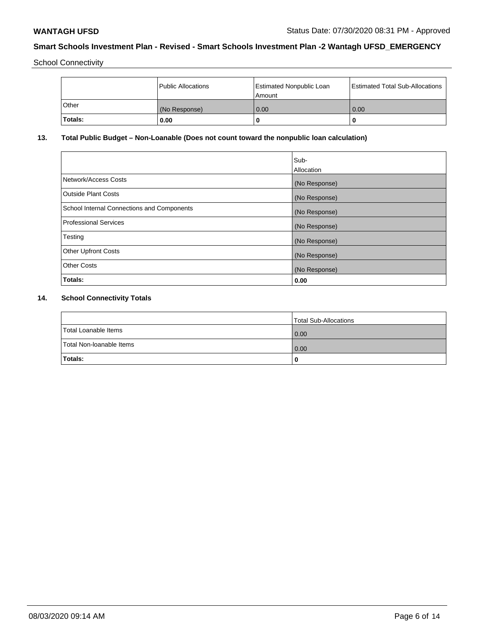School Connectivity

|         | Public Allocations | <b>Estimated Nonpublic Loan</b><br>l Amount | <b>Estimated Total Sub-Allocations</b> |
|---------|--------------------|---------------------------------------------|----------------------------------------|
| l Other | (No Response)      | 0.00                                        | 0.00                                   |
| Totals: | 0.00               | 0                                           |                                        |

# **13. Total Public Budget – Non-Loanable (Does not count toward the nonpublic loan calculation)**

|                                                   | Sub-<br>Allocation |
|---------------------------------------------------|--------------------|
| Network/Access Costs                              | (No Response)      |
| Outside Plant Costs                               | (No Response)      |
| <b>School Internal Connections and Components</b> | (No Response)      |
| <b>Professional Services</b>                      | (No Response)      |
| Testing                                           | (No Response)      |
| <b>Other Upfront Costs</b>                        | (No Response)      |
| <b>Other Costs</b>                                | (No Response)      |
| Totals:                                           | 0.00               |

# **14. School Connectivity Totals**

|                          | Total Sub-Allocations |
|--------------------------|-----------------------|
| Total Loanable Items     | 0.00                  |
| Total Non-Ioanable Items | 0.00                  |
| Totals:                  |                       |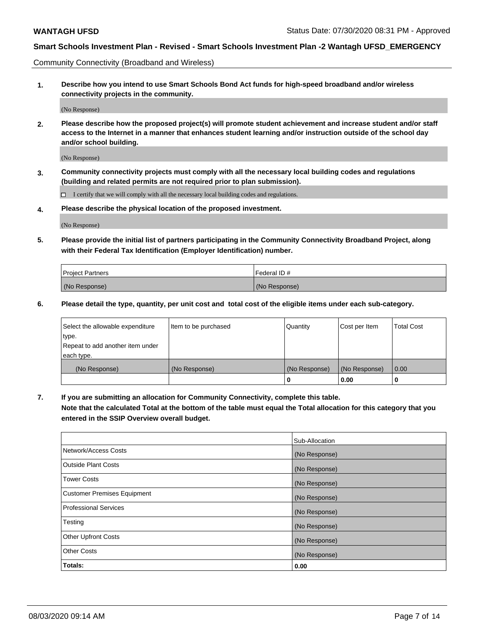Community Connectivity (Broadband and Wireless)

**1. Describe how you intend to use Smart Schools Bond Act funds for high-speed broadband and/or wireless connectivity projects in the community.**

(No Response)

**2. Please describe how the proposed project(s) will promote student achievement and increase student and/or staff access to the Internet in a manner that enhances student learning and/or instruction outside of the school day and/or school building.**

(No Response)

**3. Community connectivity projects must comply with all the necessary local building codes and regulations (building and related permits are not required prior to plan submission).**

 $\Box$  I certify that we will comply with all the necessary local building codes and regulations.

**4. Please describe the physical location of the proposed investment.**

(No Response)

**5. Please provide the initial list of partners participating in the Community Connectivity Broadband Project, along with their Federal Tax Identification (Employer Identification) number.**

| <b>Project Partners</b> | l Federal ID # |
|-------------------------|----------------|
| (No Response)           | (No Response)  |

**6. Please detail the type, quantity, per unit cost and total cost of the eligible items under each sub-category.**

| Select the allowable expenditure | Item to be purchased | Quantity      | Cost per Item | <b>Total Cost</b> |
|----------------------------------|----------------------|---------------|---------------|-------------------|
| type.                            |                      |               |               |                   |
| Repeat to add another item under |                      |               |               |                   |
| each type.                       |                      |               |               |                   |
| (No Response)                    | (No Response)        | (No Response) | (No Response) | 0.00              |
|                                  |                      | o             | 0.00          |                   |

**7. If you are submitting an allocation for Community Connectivity, complete this table.**

**Note that the calculated Total at the bottom of the table must equal the Total allocation for this category that you entered in the SSIP Overview overall budget.**

|                                    | Sub-Allocation |
|------------------------------------|----------------|
| Network/Access Costs               | (No Response)  |
| Outside Plant Costs                | (No Response)  |
| <b>Tower Costs</b>                 | (No Response)  |
| <b>Customer Premises Equipment</b> | (No Response)  |
| <b>Professional Services</b>       | (No Response)  |
| Testing                            | (No Response)  |
| <b>Other Upfront Costs</b>         | (No Response)  |
| <b>Other Costs</b>                 | (No Response)  |
| Totals:                            | 0.00           |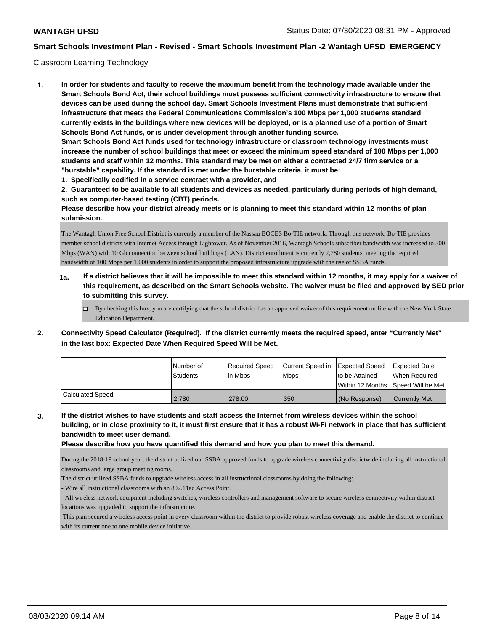### Classroom Learning Technology

**1. In order for students and faculty to receive the maximum benefit from the technology made available under the Smart Schools Bond Act, their school buildings must possess sufficient connectivity infrastructure to ensure that devices can be used during the school day. Smart Schools Investment Plans must demonstrate that sufficient infrastructure that meets the Federal Communications Commission's 100 Mbps per 1,000 students standard currently exists in the buildings where new devices will be deployed, or is a planned use of a portion of Smart Schools Bond Act funds, or is under development through another funding source. Smart Schools Bond Act funds used for technology infrastructure or classroom technology investments must increase the number of school buildings that meet or exceed the minimum speed standard of 100 Mbps per 1,000 students and staff within 12 months. This standard may be met on either a contracted 24/7 firm service or a "burstable" capability. If the standard is met under the burstable criteria, it must be: 1. Specifically codified in a service contract with a provider, and**

- **2. Guaranteed to be available to all students and devices as needed, particularly during periods of high demand,**
- **such as computer-based testing (CBT) periods.**

**Please describe how your district already meets or is planning to meet this standard within 12 months of plan submission.**

The Wantagh Union Free School District is currently a member of the Nassau BOCES Bo-TIE network. Through this network, Bo-TIE provides member school districts with Internet Access through Lightower. As of November 2016, Wantagh Schools subscriber bandwidth was increased to 300 Mbps (WAN) with 10 Gb connection between school buildings (LAN). District enrollment is currently 2,780 students, meeting the required bandwidth of 100 Mbps per 1,000 students in order to support the proposed infrastructure upgrade with the use of SSBA funds.

- **1a. If a district believes that it will be impossible to meet this standard within 12 months, it may apply for a waiver of this requirement, as described on the Smart Schools website. The waiver must be filed and approved by SED prior to submitting this survey.**
	- By checking this box, you are certifying that the school district has an approved waiver of this requirement on file with the New York State Education Department.
- **2. Connectivity Speed Calculator (Required). If the district currently meets the required speed, enter "Currently Met" in the last box: Expected Date When Required Speed Will be Met.**

|                  | l Number of     | Required Speed | Current Speed in | Expected Speed                      | <b>Expected Date</b> |
|------------------|-----------------|----------------|------------------|-------------------------------------|----------------------|
|                  | <b>Students</b> | l in Mbps      | <b>Mbps</b>      | Ito be Attained                     | When Required        |
|                  |                 |                |                  | Within 12 Months ISpeed Will be Met |                      |
| Calculated Speed | 2.780           | 278.00         | 350              | (No Response)                       | <b>Currently Met</b> |

**3. If the district wishes to have students and staff access the Internet from wireless devices within the school building, or in close proximity to it, it must first ensure that it has a robust Wi-Fi network in place that has sufficient bandwidth to meet user demand.**

**Please describe how you have quantified this demand and how you plan to meet this demand.**

During the 2018-19 school year, the district utilized our SSBA approved funds to upgrade wireless connectivity districtwide including all instructional classrooms and large group meeting rooms.

The district utilized SSBA funds to upgrade wireless access in all instructional classrooms by doing the following:

- Wire all instructional classrooms with an 802.11ac Access Point.

- All wireless network equipment including switches, wireless controllers and management software to secure wireless connectivity within district locations was upgraded to support the infrastructure.

 This plan secured a wireless access point in every classroom within the district to provide robust wireless coverage and enable the district to continue with its current one to one mobile device initiative.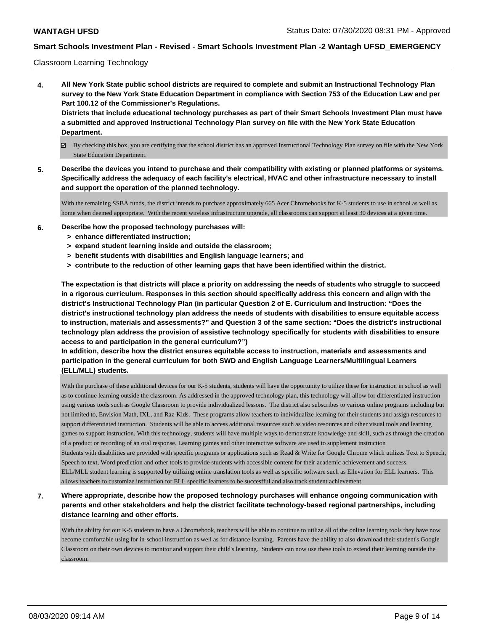### Classroom Learning Technology

**4. All New York State public school districts are required to complete and submit an Instructional Technology Plan survey to the New York State Education Department in compliance with Section 753 of the Education Law and per Part 100.12 of the Commissioner's Regulations. Districts that include educational technology purchases as part of their Smart Schools Investment Plan must have**

**a submitted and approved Instructional Technology Plan survey on file with the New York State Education Department.**

- By checking this box, you are certifying that the school district has an approved Instructional Technology Plan survey on file with the New York State Education Department.
- **5. Describe the devices you intend to purchase and their compatibility with existing or planned platforms or systems. Specifically address the adequacy of each facility's electrical, HVAC and other infrastructure necessary to install and support the operation of the planned technology.**

With the remaining SSBA funds, the district intends to purchase approximately 665 Acer Chromebooks for K-5 students to use in school as well as home when deemed appropriate. With the recent wireless infrastructure upgrade, all classrooms can support at least 30 devices at a given time.

- **6. Describe how the proposed technology purchases will:**
	- **> enhance differentiated instruction;**
	- **> expand student learning inside and outside the classroom;**
	- **> benefit students with disabilities and English language learners; and**
	- **> contribute to the reduction of other learning gaps that have been identified within the district.**

**The expectation is that districts will place a priority on addressing the needs of students who struggle to succeed in a rigorous curriculum. Responses in this section should specifically address this concern and align with the district's Instructional Technology Plan (in particular Question 2 of E. Curriculum and Instruction: "Does the district's instructional technology plan address the needs of students with disabilities to ensure equitable access to instruction, materials and assessments?" and Question 3 of the same section: "Does the district's instructional technology plan address the provision of assistive technology specifically for students with disabilities to ensure access to and participation in the general curriculum?")**

**In addition, describe how the district ensures equitable access to instruction, materials and assessments and participation in the general curriculum for both SWD and English Language Learners/Multilingual Learners (ELL/MLL) students.**

With the purchase of these additional devices for our K-5 students, students will have the opportunity to utilize these for instruction in school as well as to continue learning outside the classroom. As addressed in the approved technology plan, this technology will allow for differentiated instruction using various tools such as Google Classroom to provide individualized lessons. The district also subscribes to various online programs including but not limited to, Envision Math, IXL, and Raz-Kids. These programs allow teachers to individualize learning for their students and assign resources to support differentiated instruction. Students will be able to access additional resources such as video resources and other visual tools and learning games to support instruction. With this technology, students will have multiple ways to demonstrate knowledge and skill, such as through the creation of a product or recording of an oral response. Learning games and other interactive software are used to supplement instruction Students with disabilities are provided with specific programs or applications such as Read & Write for Google Chrome which utilizes Text to Speech, Speech to text, Word prediction and other tools to provide students with accessible content for their academic achievement and success. ELL/MLL student learning is supported by utilizing online translation tools as well as specific software such as Ellevation for ELL learners. This allows teachers to customize instruction for ELL specific learners to be succesfful and also track student achievement.

**7. Where appropriate, describe how the proposed technology purchases will enhance ongoing communication with parents and other stakeholders and help the district facilitate technology-based regional partnerships, including distance learning and other efforts.**

With the ability for our K-5 students to have a Chromebook, teachers will be able to continue to utilize all of the online learning tools they have now become comfortable using for in-school instruction as well as for distance learning. Parents have the ability to also download their student's Google Classroom on their own devices to monitor and support their child's learning. Students can now use these tools to extend their learning outside the classroom.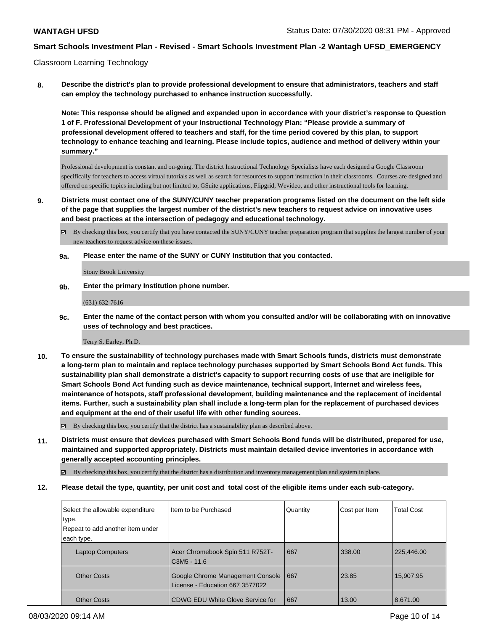Classroom Learning Technology

**8. Describe the district's plan to provide professional development to ensure that administrators, teachers and staff can employ the technology purchased to enhance instruction successfully.**

**Note: This response should be aligned and expanded upon in accordance with your district's response to Question 1 of F. Professional Development of your Instructional Technology Plan: "Please provide a summary of professional development offered to teachers and staff, for the time period covered by this plan, to support technology to enhance teaching and learning. Please include topics, audience and method of delivery within your summary."**

Professional development is constant and on-going. The district Instructional Technology Specialists have each designed a Google Classroom specifically for teachers to access virtual tutorials as well as search for resources to support instruction in their classrooms. Courses are designed and offered on specific topics including but not limited to, GSuite applications, Flipgrid, Wevideo, and other instructional tools for learning.

**9. Districts must contact one of the SUNY/CUNY teacher preparation programs listed on the document on the left side of the page that supplies the largest number of the district's new teachers to request advice on innovative uses and best practices at the intersection of pedagogy and educational technology.**

By checking this box, you certify that you have contacted the SUNY/CUNY teacher preparation program that supplies the largest number of your new teachers to request advice on these issues.

**9a. Please enter the name of the SUNY or CUNY Institution that you contacted.**

Stony Brook University

**9b. Enter the primary Institution phone number.**

(631) 632-7616

**9c. Enter the name of the contact person with whom you consulted and/or will be collaborating with on innovative uses of technology and best practices.**

Terry S. Earley, Ph.D.

**10. To ensure the sustainability of technology purchases made with Smart Schools funds, districts must demonstrate a long-term plan to maintain and replace technology purchases supported by Smart Schools Bond Act funds. This sustainability plan shall demonstrate a district's capacity to support recurring costs of use that are ineligible for Smart Schools Bond Act funding such as device maintenance, technical support, Internet and wireless fees, maintenance of hotspots, staff professional development, building maintenance and the replacement of incidental items. Further, such a sustainability plan shall include a long-term plan for the replacement of purchased devices and equipment at the end of their useful life with other funding sources.**

 $\boxtimes$  By checking this box, you certify that the district has a sustainability plan as described above.

**11. Districts must ensure that devices purchased with Smart Schools Bond funds will be distributed, prepared for use, maintained and supported appropriately. Districts must maintain detailed device inventories in accordance with generally accepted accounting principles.**

By checking this box, you certify that the district has a distribution and inventory management plan and system in place.

**12. Please detail the type, quantity, per unit cost and total cost of the eligible items under each sub-category.**

| Select the allowable expenditure | I Item to be Purchased                                              | Quantity | Cost per Item | <b>Total Cost</b> |
|----------------------------------|---------------------------------------------------------------------|----------|---------------|-------------------|
| type.                            |                                                                     |          |               |                   |
| Repeat to add another item under |                                                                     |          |               |                   |
| each type.                       |                                                                     |          |               |                   |
| <b>Laptop Computers</b>          | Acer Chromebook Spin 511 R752T-<br>C3M5 - 11.6                      | 667      | 338.00        | 225,446.00        |
| <b>Other Costs</b>               | Google Chrome Management Console<br>License - Education 667 3577022 | 667      | 23.85         | 15,907.95         |
| <b>Other Costs</b>               | l CDWG EDU White Glove Service for                                  | 667      | 13.00         | 8,671.00          |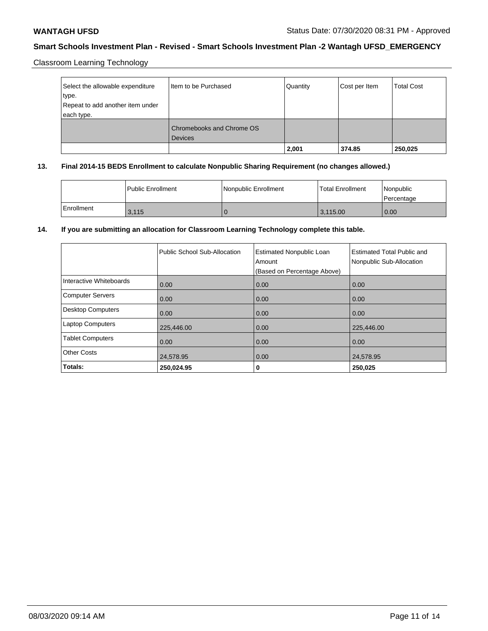Classroom Learning Technology

| Select the allowable expenditure<br>type.<br>Repeat to add another item under<br>each type. | Item to be Purchased                        | Quantity | Cost per Item | <b>Total Cost</b> |
|---------------------------------------------------------------------------------------------|---------------------------------------------|----------|---------------|-------------------|
|                                                                                             | Chromebooks and Chrome OS<br><b>Devices</b> |          |               |                   |
|                                                                                             |                                             | 2,001    | 374.85        | 250,025           |

# **13. Final 2014-15 BEDS Enrollment to calculate Nonpublic Sharing Requirement (no changes allowed.)**

|            | <b>Public Enrollment</b> | Nonpublic Enrollment | Total Enrollment | Nonpublic<br>Percentage |
|------------|--------------------------|----------------------|------------------|-------------------------|
| Enrollment | 3.115                    |                      | 3.115.00         | 0.00                    |

# **14. If you are submitting an allocation for Classroom Learning Technology complete this table.**

|                         | Public School Sub-Allocation | <b>Estimated Nonpublic Loan</b><br>Amount<br>(Based on Percentage Above) | <b>Estimated Total Public and</b><br>Nonpublic Sub-Allocation |
|-------------------------|------------------------------|--------------------------------------------------------------------------|---------------------------------------------------------------|
| Interactive Whiteboards | 0.00                         | 0.00                                                                     | 0.00                                                          |
| Computer Servers        | 0.00                         | 0.00                                                                     | 0.00                                                          |
| Desktop Computers       | 0.00                         | 0.00                                                                     | 0.00                                                          |
| <b>Laptop Computers</b> | 225,446.00                   | 0.00                                                                     | 225,446.00                                                    |
| <b>Tablet Computers</b> | 0.00                         | 0.00                                                                     | 0.00                                                          |
| <b>Other Costs</b>      | 24,578.95                    | 0.00                                                                     | 24,578.95                                                     |
| Totals:                 | 250,024.95                   | 0                                                                        | 250,025                                                       |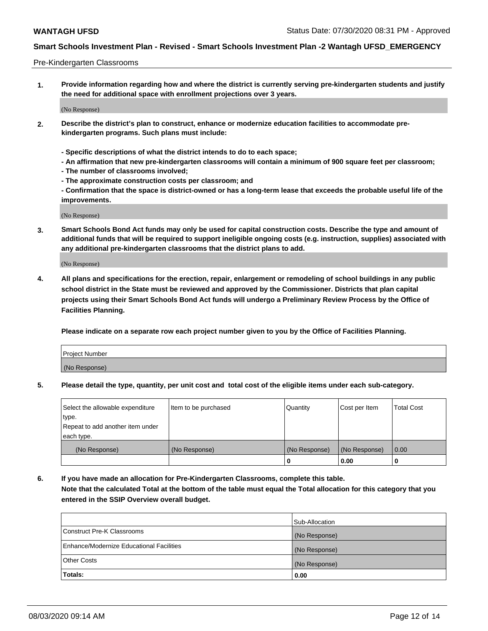### Pre-Kindergarten Classrooms

**1. Provide information regarding how and where the district is currently serving pre-kindergarten students and justify the need for additional space with enrollment projections over 3 years.**

(No Response)

- **2. Describe the district's plan to construct, enhance or modernize education facilities to accommodate prekindergarten programs. Such plans must include:**
	- **Specific descriptions of what the district intends to do to each space;**
	- **An affirmation that new pre-kindergarten classrooms will contain a minimum of 900 square feet per classroom;**
	- **The number of classrooms involved;**
	- **The approximate construction costs per classroom; and**
	- **Confirmation that the space is district-owned or has a long-term lease that exceeds the probable useful life of the improvements.**

(No Response)

**3. Smart Schools Bond Act funds may only be used for capital construction costs. Describe the type and amount of additional funds that will be required to support ineligible ongoing costs (e.g. instruction, supplies) associated with any additional pre-kindergarten classrooms that the district plans to add.**

(No Response)

**4. All plans and specifications for the erection, repair, enlargement or remodeling of school buildings in any public school district in the State must be reviewed and approved by the Commissioner. Districts that plan capital projects using their Smart Schools Bond Act funds will undergo a Preliminary Review Process by the Office of Facilities Planning.**

**Please indicate on a separate row each project number given to you by the Office of Facilities Planning.**

| Project Number |  |
|----------------|--|
| (No Response)  |  |
|                |  |

**5. Please detail the type, quantity, per unit cost and total cost of the eligible items under each sub-category.**

| Select the allowable expenditure | Item to be purchased | Quantity      | Cost per Item | <b>Total Cost</b> |
|----------------------------------|----------------------|---------------|---------------|-------------------|
| type.                            |                      |               |               |                   |
| Repeat to add another item under |                      |               |               |                   |
| each type.                       |                      |               |               |                   |
| (No Response)                    | (No Response)        | (No Response) | (No Response) | 0.00              |
|                                  |                      | U             | 0.00          |                   |

**6. If you have made an allocation for Pre-Kindergarten Classrooms, complete this table. Note that the calculated Total at the bottom of the table must equal the Total allocation for this category that you entered in the SSIP Overview overall budget.**

|                                          | Sub-Allocation |
|------------------------------------------|----------------|
| Construct Pre-K Classrooms               | (No Response)  |
| Enhance/Modernize Educational Facilities | (No Response)  |
| <b>Other Costs</b>                       | (No Response)  |
| Totals:                                  | 0.00           |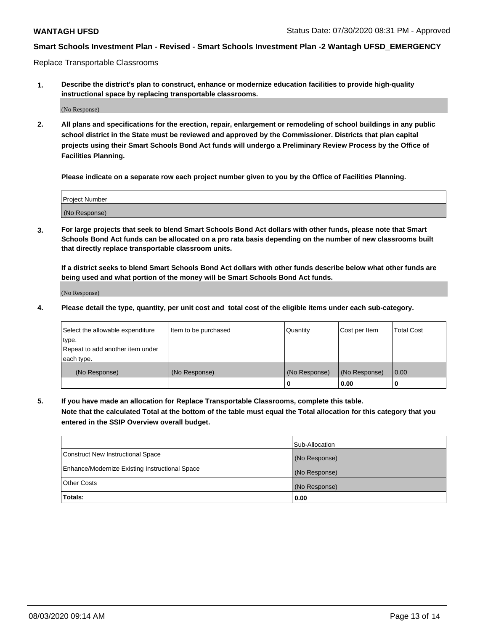Replace Transportable Classrooms

**1. Describe the district's plan to construct, enhance or modernize education facilities to provide high-quality instructional space by replacing transportable classrooms.**

(No Response)

**2. All plans and specifications for the erection, repair, enlargement or remodeling of school buildings in any public school district in the State must be reviewed and approved by the Commissioner. Districts that plan capital projects using their Smart Schools Bond Act funds will undergo a Preliminary Review Process by the Office of Facilities Planning.**

**Please indicate on a separate row each project number given to you by the Office of Facilities Planning.**

| Project Number |  |
|----------------|--|
|                |  |
|                |  |
|                |  |
| (No Response)  |  |
|                |  |
|                |  |

**3. For large projects that seek to blend Smart Schools Bond Act dollars with other funds, please note that Smart Schools Bond Act funds can be allocated on a pro rata basis depending on the number of new classrooms built that directly replace transportable classroom units.**

**If a district seeks to blend Smart Schools Bond Act dollars with other funds describe below what other funds are being used and what portion of the money will be Smart Schools Bond Act funds.**

(No Response)

**4. Please detail the type, quantity, per unit cost and total cost of the eligible items under each sub-category.**

| Select the allowable expenditure<br>∣type.     | Item to be purchased | Quantity      | Cost per Item | Total Cost |
|------------------------------------------------|----------------------|---------------|---------------|------------|
| Repeat to add another item under<br>each type. |                      |               |               |            |
| (No Response)                                  | (No Response)        | (No Response) | (No Response) | 0.00       |
|                                                |                      | u             | 0.00          |            |

**5. If you have made an allocation for Replace Transportable Classrooms, complete this table. Note that the calculated Total at the bottom of the table must equal the Total allocation for this category that you entered in the SSIP Overview overall budget.**

|                                                | Sub-Allocation |
|------------------------------------------------|----------------|
| Construct New Instructional Space              | (No Response)  |
| Enhance/Modernize Existing Instructional Space | (No Response)  |
| Other Costs                                    | (No Response)  |
| Totals:                                        | 0.00           |